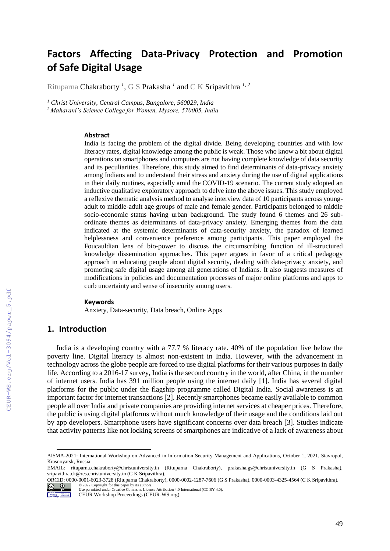# **Factors Affecting Data-Privacy Protection and Promotion of Safe Digital Usage**

Rituparna Chakraborty *<sup>1</sup>* , G S Prakasha *<sup>1</sup>* and C K Sripavithra *1, <sup>2</sup>*

*<sup>1</sup> Christ University, Central Campus, Bangalore, 560029, India*

*<sup>2</sup> Maharani's Science College for Women, Mysore, 570005, India*

#### **Abstract**

India is facing the problem of the digital divide. Being developing countries and with low literacy rates, digital knowledge among the public is weak. Those who know a bit about digital operations on smartphones and computers are not having complete knowledge of data security and its peculiarities. Therefore, this study aimed to find determinants of data-privacy anxiety among Indians and to understand their stress and anxiety during the use of digital applications in their daily routines, especially amid the COVID-19 scenario. The current study adopted an inductive qualitative exploratory approach to delve into the above issues. This study employed a reflexive thematic analysis method to analyse interview data of 10 participants across youngadult to middle-adult age groups of male and female gender. Participants belonged to middle socio-economic status having urban background. The study found 6 themes and 26 subordinate themes as determinants of data-privacy anxiety. Emerging themes from the data indicated at the systemic determinants of data-security anxiety, the paradox of learned helplessness and convenience preference among participants. This paper employed the Foucauldian lens of bio-power to discuss the circumscribing function of ill-structured knowledge dissemination approaches. This paper argues in favor of a critical pedagogy approach in educating people about digital security, dealing with data-privacy anxiety, and promoting safe digital usage among all generations of Indians. It also suggests measures of modifications in policies and documentation processes of major online platforms and apps to curb uncertainty and sense of insecurity among users.

#### **Keywords**

Anxiety, Data-security, Data breach, Online Apps

## **1. Introduction**

India is a developing country with a 77.7 % literacy rate. 40% of the population live below the poverty line. Digital literacy is almost non-existent in India. However, with the advancement in technology across the globe people are forced to use digital platforms for their various purposes in daily life. According to a 2016-17 survey, India is the second country in the world, after China, in the number of internet users. India has 391 million people using the internet daily [1]. India has several digital platforms for the public under the flagship programme called Digital India. Social awareness is an important factor for internet transactions [2]. Recently smartphones became easily available to common people all over India and private companies are providing internet services at cheaper prices. Therefore, the public is using digital platforms without much knowledge of their usage and the conditions laid out by app developers. Smartphone users have significant concerns over data breach [3]. Studies indicate that activity patterns like not locking screens of smartphones are indicative of a lack of awareness about

ORCID: 0000-0001-6023-3728 (Rituparna Chakraborty), 0000-0002-1287-7606 (G S Prakasha), 0000-0003-4325-4564 (C K Sripavithra). © 2022 Copyright for this paper by its authors.



Use permitted under Creative Commons License Attribution 4.0 International (CC BY 4.0).

AISMA-2021: International Workshop on Advanced in Information Security Management and Applications, October 1, 2021, Stavropol, Krasnoyarsk, Russia

EMAIL: rituparna.chakraborty@christuniversity.in (Rituparna Chakraborty), prakasha.gs@christuniversity.in (G S Prakasha), sripavithra.ck@res.christuniversity.in (C K Sripavithra).

CEUR Workshop Proceedings (CEUR-WS.org)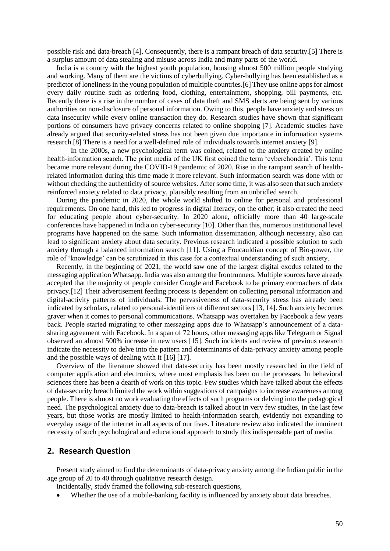possible risk and data-breach [4]. Consequently, there is a rampant breach of data security.[5] There is a surplus amount of data stealing and misuse across India and many parts of the world.

India is a country with the highest youth population, housing almost 500 million people studying and working. Many of them are the victims of cyberbullying. Cyber-bullying has been established as a predictor of loneliness in the young population of multiple countries.[6] They use online apps for almost every daily routine such as ordering food, clothing, entertainment, shopping, bill payments, etc. Recently there is a rise in the number of cases of data theft and SMS alerts are being sent by various authorities on non-disclosure of personal information. Owing to this, people have anxiety and stress on data insecurity while every online transaction they do. Research studies have shown that significant portions of consumers have privacy concerns related to online shopping [7]. Academic studies have already argued that security-related stress has not been given due importance in information systems research.[8] There is a need for a well-defined role of individuals towards internet anxiety [9].

In the 2000s, a new psychological term was coined, related to the anxiety created by online health-information search. The print media of the UK first coined the term 'cyberchondria'. This term became more relevant during the COVID-19 pandemic of 2020. Rise in the rampant search of healthrelated information during this time made it more relevant. Such information search was done with or without checking the authenticity of source websites. After some time, it was also seen that such anxiety reinforced anxiety related to data privacy, plausibly resulting from an unbridled search.

During the pandemic in 2020, the whole world shifted to online for personal and professional requirements. On one hand, this led to progress in digital literacy, on the other; it also created the need for educating people about cyber-security. In 2020 alone, officially more than 40 large-scale conferences have happened in India on cyber-security [10]. Other than this, numerous institutional level programs have happened on the same. Such information dissemination, although necessary, also can lead to significant anxiety about data security. Previous research indicated a possible solution to such anxiety through a balanced information search [11]. Using a Foucauldian concept of Bio-power, the role of 'knowledge' can be scrutinized in this case for a contextual understanding of such anxiety.

Recently, in the beginning of 2021, the world saw one of the largest digital exodus related to the messaging application Whatsapp. India was also among the frontrunners. Multiple sources have already accepted that the majority of people consider Google and Facebook to be primary encroachers of data privacy.[12] Their advertisement feeding process is dependent on collecting personal information and digital-activity patterns of individuals. The pervasiveness of data-security stress has already been indicated by scholars, related to personal-identifiers of different sectors [13, 14]. Such anxiety becomes graver when it comes to personal communications. Whatsapp was overtaken by Facebook a few years back. People started migrating to other messaging apps due to Whatsapp's announcement of a datasharing agreement with Facebook. In a span of 72 hours, other messaging apps like Telegram or Signal observed an almost 500% increase in new users [15]. Such incidents and review of previous research indicate the necessity to delve into the pattern and determinants of data-privacy anxiety among people and the possible ways of dealing with it [16] [17].

Overview of the literature showed that data-security has been mostly researched in the field of computer application and electronics, where most emphasis has been on the processes. In behavioral sciences there has been a dearth of work on this topic. Few studies which have talked about the effects of data-security breach limited the work within suggestions of campaigns to increase awareness among people. There is almost no work evaluating the effects of such programs or delving into the pedagogical need. The psychological anxiety due to data-breach is talked about in very few studies, in the last few years, but those works are mostly limited to health-information search, evidently not expanding to everyday usage of the internet in all aspects of our lives. Literature review also indicated the imminent necessity of such psychological and educational approach to study this indispensable part of media.

## **2. Research Question**

Present study aimed to find the determinants of data-privacy anxiety among the Indian public in the age group of 20 to 40 through qualitative research design.

Incidentally, study framed the following sub-research questions,

Whether the use of a mobile-banking facility is influenced by anxiety about data breaches.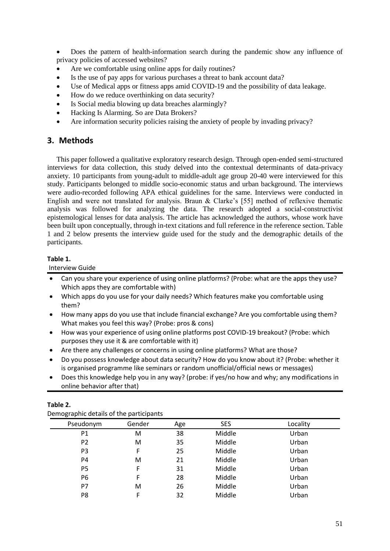Does the pattern of health-information search during the pandemic show any influence of privacy policies of accessed websites?

- Are we comfortable using online apps for daily routines?
- Is the use of pay apps for various purchases a threat to bank account data?
- Use of Medical apps or fitness apps amid COVID-19 and the possibility of data leakage.
- How do we reduce overthinking on data security?
- Is Social media blowing up data breaches alarmingly?
- Hacking Is Alarming. So are Data Brokers?
- Are information security policies raising the anxiety of people by invading privacy?

# **3. Methods**

This paper followed a qualitative exploratory research design. Through open-ended semi-structured interviews for data collection, this study delved into the contextual determinants of data-privacy anxiety. 10 participants from young-adult to middle-adult age group 20-40 were interviewed for this study. Participants belonged to middle socio-economic status and urban background. The interviews were audio-recorded following APA ethical guidelines for the same. Interviews were conducted in English and were not translated for analysis. Braun & Clarke's [55] method of reflexive thematic analysis was followed for analyzing the data. The research adopted a social-constructivist epistemological lenses for data analysis. The article has acknowledged the authors, whose work have been built upon conceptually, through in-text citations and full reference in the reference section. Table 1 and 2 below presents the interview guide used for the study and the demographic details of the participants.

### **Table 1.**

#### Interview Guide

- Can you share your experience of using online platforms? (Probe: what are the apps they use? Which apps they are comfortable with)
- Which apps do you use for your daily needs? Which features make you comfortable using them?
- How many apps do you use that include financial exchange? Are you comfortable using them? What makes you feel this way? (Probe: pros & cons)
- How was your experience of using online platforms post COVID-19 breakout? (Probe: which purposes they use it & are comfortable with it)
- Are there any challenges or concerns in using online platforms? What are those?
- Do you possess knowledge about data security? How do you know about it? (Probe: whether it is organised programme like seminars or random unofficial/official news or messages)
- Does this knowledge help you in any way? (probe: if yes/no how and why; any modifications in online behavior after that)

| - יי           |        |     |            |          |  |
|----------------|--------|-----|------------|----------|--|
| Pseudonym      | Gender | Age | <b>SES</b> | Locality |  |
| P <sub>1</sub> | м      | 38  | Middle     | Urban    |  |
| P <sub>2</sub> | м      | 35  | Middle     | Urban    |  |
| P <sub>3</sub> | F      | 25  | Middle     | Urban    |  |
| P4             | м      | 21  | Middle     | Urban    |  |
| P <sub>5</sub> | F      | 31  | Middle     | Urban    |  |
| P6             | F      | 28  | Middle     | Urban    |  |
| P7             | м      | 26  | Middle     | Urban    |  |
| P8             | F      | 32  | Middle     | Urban    |  |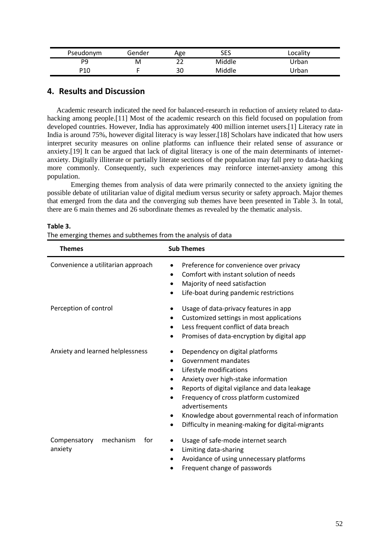| Pseudonym | Gender | Age | SES    | Locality |
|-----------|--------|-----|--------|----------|
| DQ        | M      | າາ  | Middle | Jrban    |
| P10       |        | 30  | Middle | Jrban    |

## **4. Results and Discussion**

Academic research indicated the need for balanced-research in reduction of anxiety related to datahacking among people.[11] Most of the academic research on this field focused on population from developed countries. However, India has approximately 400 million internet users.[1] Literacy rate in India is around 75%, however digital literacy is way lesser.[18] Scholars have indicated that how users interpret security measures on online platforms can influence their related sense of assurance or anxiety.[19] It can be argued that lack of digital literacy is one of the main determinants of internetanxiety. Digitally illiterate or partially literate sections of the population may fall prey to data-hacking more commonly. Consequently, such experiences may reinforce internet-anxiety among this population.

Emerging themes from analysis of data were primarily connected to the anxiety igniting the possible debate of utilitarian value of digital medium versus security or safety approach. Major themes that emerged from the data and the converging sub themes have been presented in Table 3. In total, there are 6 main themes and 26 subordinate themes as revealed by the thematic analysis.

| <b>Themes</b>                               | <b>Sub Themes</b>                                                                                                                                                                                                                                                                                                                                                      |  |
|---------------------------------------------|------------------------------------------------------------------------------------------------------------------------------------------------------------------------------------------------------------------------------------------------------------------------------------------------------------------------------------------------------------------------|--|
| Convenience a utilitarian approach          | Preference for convenience over privacy<br>$\bullet$<br>Comfort with instant solution of needs<br>Majority of need satisfaction<br>Life-boat during pandemic restrictions                                                                                                                                                                                              |  |
| Perception of control                       | Usage of data-privacy features in app<br>Customized settings in most applications<br>٠<br>Less frequent conflict of data breach<br>Promises of data-encryption by digital app<br>$\bullet$                                                                                                                                                                             |  |
| Anxiety and learned helplessness            | Dependency on digital platforms<br>Government mandates<br>$\bullet$<br>Lifestyle modifications<br>٠<br>Anxiety over high-stake information<br>٠<br>Reports of digital vigilance and data leakage<br>Frequency of cross platform customized<br>advertisements<br>Knowledge about governmental reach of information<br>Difficulty in meaning-making for digital-migrants |  |
| mechanism<br>Compensatory<br>for<br>anxiety | Usage of safe-mode internet search<br>Limiting data-sharing<br>٠<br>Avoidance of using unnecessary platforms<br>Frequent change of passwords                                                                                                                                                                                                                           |  |

#### **Table 3.**

The emerging themes and subthemes from the analysis of data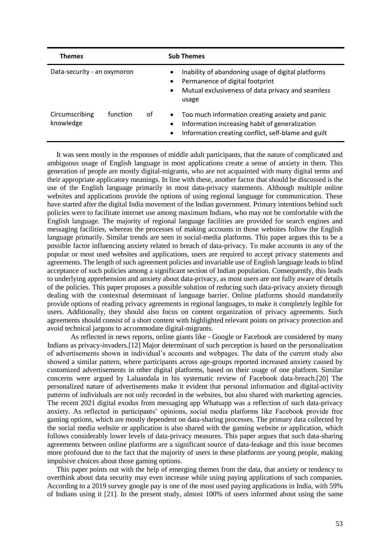| <b>Themes</b>               |          |    | <b>Sub Themes</b>                                                                                                                                                                          |
|-----------------------------|----------|----|--------------------------------------------------------------------------------------------------------------------------------------------------------------------------------------------|
| Data-security - an oxymoron |          |    | Inability of abandoning usage of digital platforms<br>$\bullet$<br>Permanence of digital footprint<br>$\bullet$<br>Mutual exclusiveness of data privacy and seamless<br>$\bullet$<br>usage |
| Circumscribing<br>knowledge | function | οf | Too much information creating anxiety and panic<br>$\bullet$<br>Information increasing habit of generalization<br>٠<br>Information creating conflict, self-blame and guilt<br>٠            |

It was seen mostly in the responses of middle adult participants, that the nature of complicated and ambiguous usage of English language in most applications create a sense of anxiety in them. This generation of people are mostly digital-migrants, who are not acquainted with many digital terms and their appropriate applicatory meanings. In line with these, another factor that should be discussed is the use of the English language primarily in most data-privacy statements. Although multiple online websites and applications provide the options of using regional language for communication. These have started after the digital India movement of the Indian government. Primary intentions behind such policies were to facilitate internet use among maximum Indians, who may not be comfortable with the English language. The majority of regional language facilities are provided for search engines and messaging facilities, whereas the processes of making accounts in those websites follow the English language primarily. Similar trends are seen in social-media platforms. This paper argues this to be a possible factor influencing anxiety related to breach of data-privacy. To make accounts in any of the popular or most used websites and applications, users are required to accept privacy statements and agreements. The length of such agreement policies and invariable use of English language leads to blind acceptance of such policies among a significant section of Indian population. Consequently, this leads to underlying apprehension and anxiety about data-privacy, as most users are not fully aware of details of the policies. This paper proposes a possible solution of reducing such data-privacy anxiety through dealing with the contextual determinant of language barrier. Online platforms should mandatorily provide options of reading privacy agreements in regional languages, to make it completely legible for users. Additionally, they should also focus on content organization of privacy agreements. Such agreements should consist of a short content with highlighted relevant points on privacy protection and avoid technical jargons to accommodate digital-migrants.

As reflected in news reports, online giants like - Google or Facebook are considered by many Indians as privacy-invaders.[12] Major determinant of such perception is based on the personalization of advertisements shown in individual's accounts and webpages. The data of the current study also showed a similar pattern, where participants across age-groups reported increased anxiety caused by customized advertisements in other digital platforms, based on their usage of one platform. Similar concerns were argued by Laluandala in his systematic review of Facebook data-breach.[20] The personalized nature of advertisements make it evident that personal information and digital-activity patterns of individuals are not only recorded in the websites, but also shared with marketing agencies. The recent 2021 digital exodus from messaging app Whatsapp was a reflection of such data-privacy anxiety. As reflected in participants' opinions, social media platforms like Facebook provide free gaming options, which are mostly dependent on data-sharing processes. The primary data collected by the social media website or application is also shared with the gaming website or application, which follows considerably lower levels of data-privacy measures. This paper argues that such data-sharing agreements between online platforms are a significant source of data-leakage and this issue becomes more profound due to the fact that the majority of users in these platforms are young people, making impulsive choices about those gaming options.

This paper points out with the help of emerging themes from the data, that anxiety or tendency to overthink about data security may even increase while using paying applications of such companies. According to a 2019 survey google pay is one of the most used paying applications in India, with 59% of Indians using it [21]. In the present study, almost 100% of users informed about using the same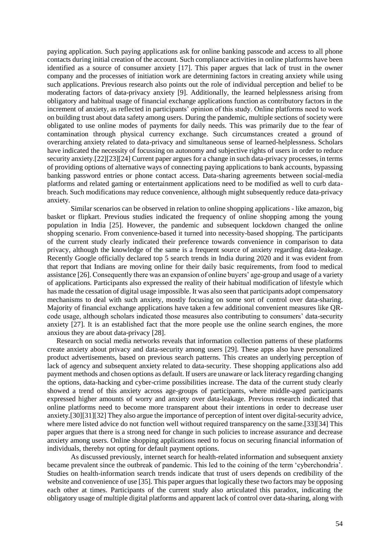paying application. Such paying applications ask for online banking passcode and access to all phone contacts during initial creation of the account. Such compliance activities in online platforms have been identified as a source of consumer anxiety [17]. This paper argues that lack of trust in the owner company and the processes of initiation work are determining factors in creating anxiety while using such applications. Previous research also points out the role of individual perception and belief to be moderating factors of data-privacy anxiety [9]. Additionally, the learned helplessness arising from obligatory and habitual usage of financial exchange applications function as contributory factors in the increment of anxiety, as reflected in participants' opinion of this study. Online platforms need to work on building trust about data safety among users. During the pandemic, multiple sections of society were obligated to use online modes of payments for daily needs. This was primarily due to the fear of contamination through physical currency exchange. Such circumstances created a ground of overarching anxiety related to data-privacy and simultaneous sense of learned-helplessness. Scholars have indicated the necessity of focussing on autonomy and subjective rights of users in order to reduce security anxiety.[22][23][24] Current paper argues for a change in such data-privacy processes, in terms of providing options of alternative ways of connecting paying applications to bank accounts, bypassing banking password entries or phone contact access. Data-sharing agreements between social-media platforms and related gaming or entertainment applications need to be modified as well to curb databreach. Such modifications may reduce convenience, although might subsequently reduce data-privacy anxiety.

Similar scenarios can be observed in relation to online shopping applications - like amazon, big basket or flipkart. Previous studies indicated the frequency of online shopping among the young population in India [25]. However, the pandemic and subsequent lockdown changed the online shopping scenario. From convenience-based it turned into necessity-based shopping. The participants of the current study clearly indicated their preference towards convenience in comparison to data privacy, although the knowledge of the same is a frequent source of anxiety regarding data-leakage. Recently Google officially declared top 5 search trends in India during 2020 and it was evident from that report that Indians are moving online for their daily basic requirements, from food to medical assistance [26]. Consequently there was an expansion of online buyers' age-group and usage of a variety of applications. Participants also expressed the reality of their habitual modification of lifestyle which has made the cessation of digital usage impossible. It was also seen that participants adopt compensatory mechanisms to deal with such anxiety, mostly focusing on some sort of control over data-sharing. Majority of financial exchange applications have taken a few additional convenient measures like QRcode usage, although scholars indicated those measures also contributing to consumers' data-security anxiety [27]. It is an established fact that the more people use the online search engines, the more anxious they are about data-privacy [28].

Research on social media networks reveals that information collection patterns of these platforms create anxiety about privacy and data-security among users [29]. These apps also have personalized product advertisements, based on previous search patterns. This creates an underlying perception of lack of agency and subsequent anxiety related to data-security. These shopping applications also add payment methods and chosen options as default. If users are unaware or lack literacy regarding changing the options, data-hacking and cyber-crime possibilities increase. The data of the current study clearly showed a trend of this anxiety across age-groups of participants, where middle-aged participants expressed higher amounts of worry and anxiety over data-leakage. Previous research indicated that online platforms need to become more transparent about their intentions in order to decrease user anxiety.[30][31][32] They also argue the importance of perception of intent over digital-security advice, where mere listed advice do not function well without required transparency on the same.[33][34] This paper argues that there is a strong need for change in such policies to increase assurance and decrease anxiety among users. Online shopping applications need to focus on securing financial information of individuals, thereby not opting for default payment options.

As discussed previously, internet search for health-related information and subsequent anxiety became prevalent since the outbreak of pandemic. This led to the coining of the term 'cyberchondria'. Studies on health-information search trends indicate that trust of users depends on credibility of the website and convenience of use [35]. This paper argues that logically these two factors may be opposing each other at times. Participants of the current study also articulated this paradox, indicating the obligatory usage of multiple digital platforms and apparent lack of control over data-sharing, along with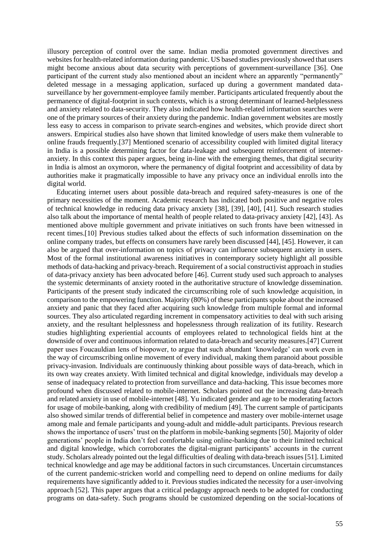illusory perception of control over the same. Indian media promoted government directives and websites for health-related information during pandemic. US based studies previously showed that users might become anxious about data security with perceptions of government-surveillance [36]. One participant of the current study also mentioned about an incident where an apparently "permanently" deleted message in a messaging application, surfaced up during a government mandated datasurveillance by her government-employee family member. Participants articulated frequently about the permanence of digital-footprint in such contexts, which is a strong determinant of learned-helplessness and anxiety related to data-security. They also indicated how health-related information searches were one of the primary sources of their anxiety during the pandemic. Indian government websites are mostly less easy to access in comparison to private search-engines and websites, which provide direct short answers. Empirical studies also have shown that limited knowledge of users make them vulnerable to online frauds frequently.[37] Mentioned scenario of accessibility coupled with limited digital literacy in India is a possible determining factor for data-leakage and subsequent reinforcement of internetanxiety. In this context this paper argues, being in-line with the emerging themes, that digital security in India is almost an oxymoron, where the permanency of digital footprint and accessibility of data by authorities make it pragmatically impossible to have any privacy once an individual enrolls into the digital world.

Educating internet users about possible data-breach and required safety-measures is one of the primary necessities of the moment. Academic research has indicated both positive and negative roles of technical knowledge in reducing data privacy anxiety [38], [39], [40], [41]. Such research studies also talk about the importance of mental health of people related to data-privacy anxiety [42], [43]. As mentioned above multiple government and private initiatives on such fronts have been witnessed in recent times.[10] Previous studies talked about the effects of such information dissemination on the online company trades, but effects on consumers have rarely been discussed [44], [45]. However, it can also be argued that over-information on topics of privacy can influence subsequent anxiety in users. Most of the formal institutional awareness initiatives in contemporary society highlight all possible methods of data-hacking and privacy-breach. Requirement of a social constructivist approach in studies of data-privacy anxiety has been advocated before [46]. Current study used such approach to analyses the systemic determinants of anxiety rooted in the authoritative structure of knowledge dissemination. Participants of the present study indicated the circumscribing role of such knowledge acquisition, in comparison to the empowering function. Majority (80%) of these participants spoke about the increased anxiety and panic that they faced after acquiring such knowledge from multiple formal and informal sources. They also articulated regarding increment in compensatory activities to deal with such arising anxiety, and the resultant helplessness and hopelessness through realization of its futility. Research studies highlighting experiential accounts of employees related to technological fields hint at the downside of over and continuous information related to data-breach and security measures.[47] Current paper uses Foucauldian lens of biopower, to argue that such abundant 'knowledge' can work even in the way of circumscribing online movement of every individual, making them paranoid about possible privacy-invasion. Individuals are continuously thinking about possible ways of data-breach, which in its own way creates anxiety. With limited technical and digital knowledge, individuals may develop a sense of inadequacy related to protection from surveillance and data-hacking. This issue becomes more profound when discussed related to mobile-internet. Scholars pointed out the increasing data-breach and related anxiety in use of mobile-internet [48]. Yu indicated gender and age to be moderating factors for usage of mobile-banking, along with credibility of medium [49]. The current sample of participants also showed similar trends of differential belief in competence and mastery over mobile-internet usage among male and female participants and young-adult and middle-adult participants. Previous research shows the importance of users' trust on the platform in mobile-banking segments [50]. Majority of older generations' people in India don't feel comfortable using online-banking due to their limited technical and digital knowledge, which corroborates the digital-migrant participants' accounts in the current study. Scholars already pointed out the legal difficulties of dealing with data-breach issues[51]. Limited technical knowledge and age may be additional factors in such circumstances. Uncertain circumstances of the current pandemic-stricken world and compelling need to depend on online mediums for daily requirements have significantly added to it. Previous studies indicated the necessity for a user-involving approach [52]. This paper argues that a critical pedagogy approach needs to be adopted for conducting programs on data-safety. Such programs should be customized depending on the social-locations of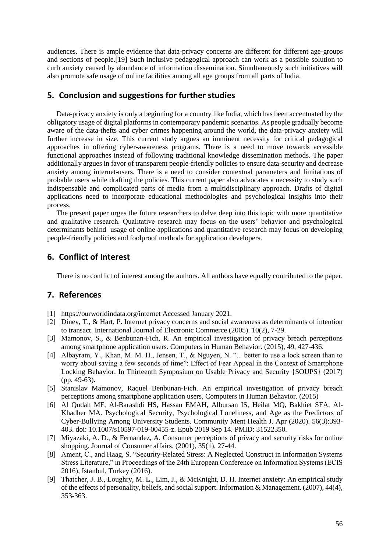audiences. There is ample evidence that data-privacy concerns are different for different age-groups and sections of people.[19] Such inclusive pedagogical approach can work as a possible solution to curb anxiety caused by abundance of information dissemination. Simultaneously such initiatives will also promote safe usage of online facilities among all age groups from all parts of India.

## **5. Conclusion and suggestions for further studies**

Data-privacy anxiety is only a beginning for a country like India, which has been accentuated by the obligatory usage of digital platforms in contemporary pandemic scenarios. As people gradually become aware of the data-thefts and cyber crimes happening around the world, the data-privacy anxiety will further increase in size. This current study argues an imminent necessity for critical pedagogical approaches in offering cyber-awareness programs. There is a need to move towards accessible functional approaches instead of following traditional knowledge dissemination methods. The paper additionally argues in favor of transparent people-friendly policies to ensure data-security and decrease anxiety among internet-users. There is a need to consider contextual parameters and limitations of probable users while drafting the policies. This current paper also advocates a necessity to study such indispensable and complicated parts of media from a multidisciplinary approach. Drafts of digital applications need to incorporate educational methodologies and psychological insights into their process.

The present paper urges the future researchers to delve deep into this topic with more quantitative and qualitative research. Qualitative research may focus on the users' behavior and psychological determinants behind usage of online applications and quantitative research may focus on developing people-friendly policies and foolproof methods for application developers.

## **6. Conflict of Interest**

There is no conflict of interest among the authors. All authors have equally contributed to the paper.

## **7. References**

- [1] https://ourworldindata.org/internet Accessed January 2021.
- [2] Dinev, T., & Hart, P. Internet privacy concerns and social awareness as determinants of intention to transact. International Journal of Electronic Commerce (2005). 10(2), 7-29.
- [3] Mamonov, S., & Benbunan-Fich, R. An empirical investigation of privacy breach perceptions among smartphone application users. Computers in Human Behavior. (2015), 49, 427-436.
- [4] Albayram, Y., Khan, M. M. H., Jensen, T., & Nguyen, N. "... better to use a lock screen than to worry about saving a few seconds of time": Effect of Fear Appeal in the Context of Smartphone Locking Behavior. In Thirteenth Symposium on Usable Privacy and Security {SOUPS} (2017) (pp. 49-63).
- [5] Stanislav Mamonov, Raquel Benbunan-Fich. An empirical investigation of privacy breach perceptions among smartphone application users, Computers in Human Behavior. (2015)
- [6] Al Qudah MF, Al-Barashdi HS, Hassan EMAH, Albursan IS, Heilat MQ, Bakhiet SFA, Al-Khadher MA. Psychological Security, Psychological Loneliness, and Age as the Predictors of Cyber-Bullying Among University Students. Community Ment Health J. Apr (2020). 56(3):393- 403. doi: 10.1007/s10597-019-00455-z. Epub 2019 Sep 14. PMID: 31522350.
- [7] Miyazaki, A. D., & Fernandez, A. Consumer perceptions of privacy and security risks for online shopping. Journal of Consumer affairs. (2001), 35(1), 27-44.
- [8] Ament, C., and Haag, S. "Security-Related Stress: A Neglected Construct in Information Systems Stress Literature," in Proceedings of the 24th European Conference on Information Systems (ECIS 2016), Istanbul, Turkey (2016).
- [9] Thatcher, J. B., Loughry, M. L., Lim, J., & McKnight, D. H. Internet anxiety: An empirical study of the effects of personality, beliefs, and social support. Information & Management. (2007), 44(4), 353-363.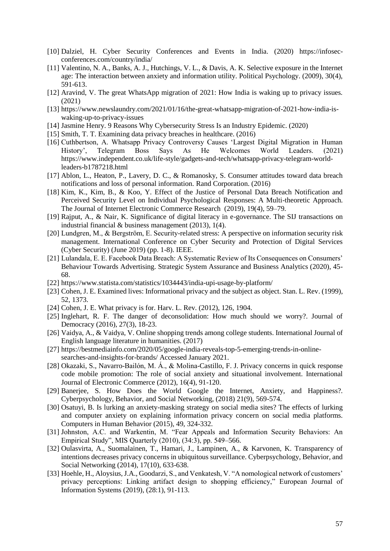- [10] Dalziel, H. Cyber Security Conferences and Events in India. (2020) https://infosecconferences.com/country/india/
- [11] Valentino, N. A., Banks, A. J., Hutchings, V. L., & Davis, A. K. Selective exposure in the Internet age: The interaction between anxiety and information utility. Political Psychology. (2009), 30(4), 591-613.
- [12] Aravind, V. The great WhatsApp migration of 2021: How India is waking up to privacy issues. (2021)
- [13] https://www.newslaundry.com/2021/01/16/the-great-whatsapp-migration-of-2021-how-india-iswaking-up-to-privacy-issues
- [14] Jasmine Henry. 9 Reasons Why Cybersecurity Stress Is an Industry Epidemic. (2020)
- [15] Smith, T. T. Examining data privacy breaches in healthcare. (2016)
- [16] Cuthbertson, A. Whatsapp Privacy Controversy Causes 'Largest Digital Migration in Human History', Telegram Boss Says As He Welcomes World Leaders. (2021) https://www.independent.co.uk/life-style/gadgets-and-tech/whatsapp-privacy-telegram-worldleaders-b1787218.html
- [17] Ablon, L., Heaton, P., Lavery, D. C., & Romanosky, S. Consumer attitudes toward data breach notifications and loss of personal information. Rand Corporation. (2016)
- [18] Kim, K., Kim, B., & Koo, Y. Effect of the Justice of Personal Data Breach Notification and Perceived Security Level on Individual Psychological Responses: A Multi-theoretic Approach. The Journal of Internet Electronic Commerce Research (2019), 19(4), 59–79.
- [19] Rajput, A., & Nair, K. Significance of digital literacy in e-governance. The SIJ transactions on industrial financial & business management (2013), 1(4).
- [20] Lundgren, M., & Bergström, E. Security-related stress: A perspective on information security risk management. International Conference on Cyber Security and Protection of Digital Services (Cyber Security) (June 2019) (pp. 1-8). IEEE.
- [21] Lulandala, E. E. Facebook Data Breach: A Systematic Review of Its Consequences on Consumers' Behaviour Towards Advertising. Strategic System Assurance and Business Analytics (2020), 45- 68.
- [22] https://www.statista.com/statistics/1034443/india-upi-usage-by-platform/
- [23] Cohen, J. E. Examined lives: Informational privacy and the subject as object. Stan. L. Rev. (1999), 52, 1373.
- [24] Cohen, J. E. What privacy is for. Harv. L. Rev. (2012), 126, 1904.
- [25] Inglehart, R. F. The danger of deconsolidation: How much should we worry?. Journal of Democracy (2016), 27(3), 18-23.
- [26] Vaidya, A., & Vaidya, V. Online shopping trends among college students. International Journal of English language literature in humanities. (2017)
- [27] https://bestmediainfo.com/2020/05/google-india-reveals-top-5-emerging-trends-in-onlinesearches-and-insights-for-brands/ Accessed January 2021.
- [28] Okazaki, S., Navarro-Bailón, M. Á., & Molina-Castillo, F. J. Privacy concerns in quick response code mobile promotion: The role of social anxiety and situational involvement. International Journal of Electronic Commerce (2012), 16(4), 91-120.
- [29] Banerjee, S. How Does the World Google the Internet, Anxiety, and Happiness?. Cyberpsychology, Behavior, and Social Networking, (2018) 21(9), 569-574.
- [30] Osatuyi, B. Is lurking an anxiety-masking strategy on social media sites? The effects of lurking and computer anxiety on explaining information privacy concern on social media platforms. Computers in Human Behavior (2015), 49, 324-332.
- [31] Johnston, A.C. and Warkentin, M. "Fear Appeals and Information Security Behaviors: An Empirical Study", MIS Quarterly (2010), (34:3), pp. 549–566.
- [32] Oulasvirta, A., Suomalainen, T., Hamari, J., Lampinen, A., & Karvonen, K. Transparency of intentions decreases privacy concerns in ubiquitous surveillance. Cyberpsychology, Behavior, and Social Networking (2014), 17(10), 633-638.
- [33] Hoehle, H., Aloysius, J.A., Goodarzi, S., and Venkatesh, V. "A nomological network of customers' privacy perceptions: Linking artifact design to shopping efficiency," European Journal of Information Systems (2019), (28:1), 91-113.